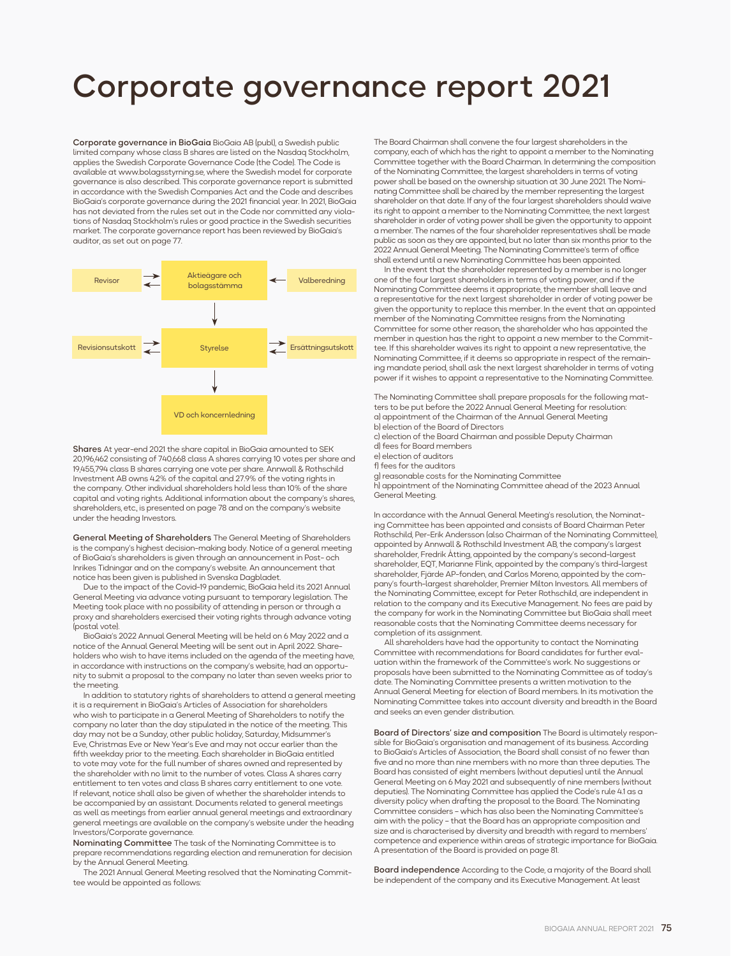# Corporate governance report 2021

Corporate governance in BioGaia BioGaia AB (publ), a Swedish public limited company whose class B shares are listed on the Nasdaq Stockholm, applies the Swedish Corporate Governance Code (the Code). The Code is available at www.bolagsstyrning.se, where the Swedish model for corporate governance is also described. This corporate governance report is submitted in accordance with the Swedish Companies Act and the Code and describes BioGaia's corporate governance during the 2021 financial year. In 2021, BioGaia has not deviated from the rules set out in the Code nor committed any violations of Nasdaq Stockholm's rules or good practice in the Swedish securities market. The corporate governance report has been reviewed by BioGaia's auditor, as set out on page 77.



Shares At year-end 2021 the share capital in BioGaia amounted to SEK 20,196,462 consisting of 740,668 class A shares carrying 10 votes per share and 19,455,794 class B shares carrying one vote per share. Annwall & Rothschild Investment AB owns 4.2% of the capital and 27.9% of the voting rights in the company. Other individual shareholders hold less than 10% of the share capital and voting rights. Additional information about the company's shares, shareholders, etc., is presented on page 78 and on the company's website under the heading Investors.

General Meeting of Shareholders The General Meeting of Shareholders is the company's highest decision-making body. Notice of a general meeting of BioGaia's shareholders is given through an announcement in Post- och Inrikes Tidningar and on the company's website. An announcement that notice has been given is published in Svenska Dagbladet.

Due to the impact of the Covid-19 pandemic, BioGaia held its 2021 Annual General Meeting via advance voting pursuant to temporary legislation. The Meeting took place with no possibility of attending in person or through a proxy and shareholders exercised their voting rights through advance voting (postal vote).

BioGaia's 2022 Annual General Meeting will be held on 6 May 2022 and a notice of the Annual General Meeting will be sent out in April 2022. Shareholders who wish to have items included on the agenda of the meeting have, in accordance with instructions on the company's website, had an opportunity to submit a proposal to the company no later than seven weeks prior to the meeting.

In addition to statutory rights of shareholders to attend a general meeting it is a requirement in BioGaia's Articles of Association for shareholders who wish to participate in a General Meeting of Shareholders to notify the company no later than the day stipulated in the notice of the meeting. This day may not be a Sunday, other public holiday, Saturday, Midsummer's Eve, Christmas Eve or New Year's Eve and may not occur earlier than the fifth weekday prior to the meeting. Each shareholder in BioGaia entitled to vote may vote for the full number of shares owned and represented by the shareholder with no limit to the number of votes. Class A shares carry entitlement to ten votes and class B shares carry entitlement to one vote If relevant, notice shall also be given of whether the shareholder intends to be accompanied by an assistant. Documents related to general meetings as well as meetings from earlier annual general meetings and extraordinary general meetings are available on the company's website under the heading Investors/Corporate governance.

Nominating Committee The task of the Nominating Committee is to prepare recommendations regarding election and remuneration for decision by the Annual General Meeting.

The 2021 Annual General Meeting resolved that the Nominating Committee would be appointed as follows:

The Board Chairman shall convene the four largest shareholders in the company, each of which has the right to appoint a member to the Nominating Committee together with the Board Chairman. In determining the composition of the Nominating Committee, the largest shareholders in terms of voting power shall be based on the ownership situation at 30 June 2021. The Nominating Committee shall be chaired by the member representing the largest shareholder on that date. If any of the four largest shareholders should waive its right to appoint a member to the Nominating Committee, the next largest shareholder in order of voting power shall be given the opportunity to appoint a member. The names of the four shareholder representatives shall be made public as soon as they are appointed, but no later than six months prior to the 2022 Annual General Meeting. The Nominating Committee's term of office shall extend until a new Nominating Committee has been appointed.

In the event that the shareholder represented by a member is no longer one of the four largest shareholders in terms of voting power, and if the Nominating Committee deems it appropriate, the member shall leave and a representative for the next largest shareholder in order of voting power be given the opportunity to replace this member. In the event that an appointed member of the Nominating Committee resigns from the Nominating Committee for some other reason, the shareholder who has appointed the member in question has the right to appoint a new member to the Committee. If this shareholder waives its right to appoint a new representative, the Nominating Committee, if it deems so appropriate in respect of the remaining mandate period, shall ask the next largest shareholder in terms of voting power if it wishes to appoint a representative to the Nominating Committee.

The Nominating Committee shall prepare proposals for the following matters to be put before the 2022 Annual General Meeting for resolution: a) appointment of the Chairman of the Annual General Meeting b) election of the Board of Directors

c) election of the Board Chairman and possible Deputy Chairman d) fees for Board members e) election of auditors

f) fees for the auditors

g) reasonable costs for the Nominating Committee h) appointment of the Nominating Committee ahead of the 2023 Annual General Meeting.

In accordance with the Annual General Meeting's resolution, the Nominating Committee has been appointed and consists of Board Chairman Peter Rothschild, Per-Erik Andersson (also Chairman of the Nominating Committee), appointed by Annwall & Rothschild Investment AB, the company's largest shareholder, Fredrik Åtting, appointed by the company's second-largest shareholder, EQT, Marianne Flink, appointed by the company's third-largest shareholder, Fjärde AP-fonden, and Carlos Moreno, appointed by the company's fourth-largest shareholder, Premier Milton Investors. All members of the Nominating Committee, except for Peter Rothschild, are independent in relation to the company and its Executive Management. No fees are paid by the company for work in the Nominating Committee but BioGaia shall meet reasonable costs that the Nominating Committee deems necessary for completion of its assignment.

All shareholders have had the opportunity to contact the Nominating Committee with recommendations for Board candidates for further evaluation within the framework of the Committee's work. No suggestions or proposals have been submitted to the Nominating Committee as of today's date. The Nominating Committee presents a written motivation to the Annual General Meeting for election of Board members. In its motivation the Nominating Committee takes into account diversity and breadth in the Board and seeks an even gender distribution.

Board of Directors' size and composition The Board is ultimately responsible for BioGaia's organisation and management of its business. According to BioGaia's Articles of Association, the Board shall consist of no fewer than five and no more than nine members with no more than three deputies. The Board has consisted of eight members (without deputies) until the Annual General Meeting on 6 May 2021 and subsequently of nine members (without deputies). The Nominating Committee has applied the Code's rule 4.1 as a diversity policy when drafting the proposal to the Board. The Nominating Committee considers – which has also been the Nominating Committee's aim with the policy – that the Board has an appropriate composition and size and is characterised by diversity and breadth with regard to members' competence and experience within areas of strategic importance for BioGaia. A presentation of the Board is provided on page 81.

Board independence According to the Code, a majority of the Board shall be independent of the company and its Executive Management. At least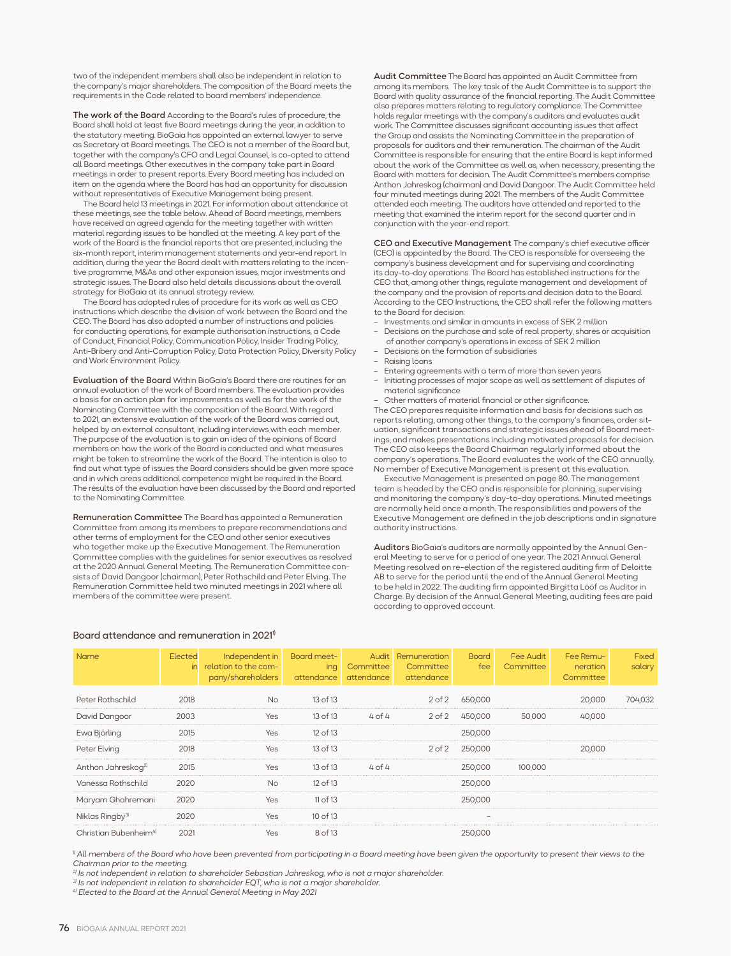two of the independent members shall also be independent in relation to the company's major shareholders. The composition of the Board meets the requirements in the Code related to board members' independence.

The work of the Board According to the Board's rules of procedure, the Board shall hold at least five Board meetings during the year, in addition to the statutory meeting. BioGaia has appointed an external lawyer to serve as Secretary at Board meetings. The CEO is not a member of the Board but, together with the company's CFO and Legal Counsel, is co-opted to attend all Board meetings. Other executives in the company take part in Board meetings in order to present reports. Every Board meeting has included an item on the agenda where the Board has had an opportunity for discussion without representatives of Executive Management being present.

The Board held 13 meetings in 2021. For information about attendance at these meetings, see the table below. Ahead of Board meetings, members have received an agreed agenda for the meeting together with written material regarding issues to be handled at the meeting. A key part of the work of the Board is the financial reports that are presented, including the six-month report, interim management statements and year-end report. In addition, during the year the Board dealt with matters relating to the incentive programme, M&As and other expansion issues, major investments and strategic issues. The Board also held details discussions about the overall strategy for BioGaia at its annual strategy review.

The Board has adopted rules of procedure for its work as well as CEO instructions which describe the division of work between the Board and the CEO. The Board has also adopted a number of instructions and policies for conducting operations, for example authorisation instructions, a Code of Conduct, Financial Policy, Communication Policy, Insider Trading Policy, Anti-Bribery and Anti-Corruption Policy, Data Protection Policy, Diversity Policy and Work Environment Policy.

Evaluation of the Board Within BioGaia's Board there are routines for an annual evaluation of the work of Board members. The evaluation provides a basis for an action plan for improvements as well as for the work of the Nominating Committee with the composition of the Board. With regard to 2021, an extensive evaluation of the work of the Board was carried out, helped by an external consultant, including interviews with each member. The purpose of the evaluation is to gain an idea of the opinions of Board members on how the work of the Board is conducted and what measures might be taken to streamline the work of the Board. The intention is also to find out what type of issues the Board considers should be given more space and in which areas additional competence might be required in the Board. The results of the evaluation have been discussed by the Board and reported to the Nominating Committee.

Remuneration Committee The Board has appointed a Remuneration Committee from among its members to prepare recommendations and other terms of employment for the CEO and other senior executives who together make up the Executive Management. The Remuneration Committee complies with the guidelines for senior executives as resolved at the 2020 Annual General Meeting. The Remuneration Committee consists of David Dangoor (chairman), Peter Rothschild and Peter Elving. The Remuneration Committee held two minuted meetings in 2021 where all members of the committee were present.

Audit Committee The Board has appointed an Audit Committee from among its members. The key task of the Audit Committee is to support the Board with quality assurance of the financial reporting. The Audit Committee also prepares matters relating to regulatory compliance. The Committee holds regular meetings with the company's auditors and evaluates audit work. The Committee discusses significant accounting issues that affect the Group and assists the Nominating Committee in the preparation of proposals for auditors and their remuneration. The chairman of the Audit Committee is responsible for ensuring that the entire Board is kept informed about the work of the Committee as well as, when necessary, presenting the Board with matters for decision. The Audit Committee's members comprise Anthon Jahreskog (chairman) and David Dangoor. The Audit Committee held four minuted meetings during 2021. The members of the Audit Committee attended each meeting. The auditors have attended and reported to the meeting that examined the interim report for the second quarter and in conjunction with the year-end report.

CEO and Executive Management The company's chief executive officer (CEO) is appointed by the Board. The CEO is responsible for overseeing the company's business development and for supervising and coordinating its day-to-day operations. The Board has established instructions for the CEO that, among other things, regulate management and development of the company and the provision of reports and decision data to the Board. According to the CEO Instructions, the CEO shall refer the following matters to the Board for decision:

- Investments and similar in amounts in excess of SEK 2 million
- Decisions on the purchase and sale of real property, shares or acquisition of another company's operations in excess of SEK 2 million
- Decisions on the formation of subsidiaries
- Raising loans
- Entering agreements with a term of more than seven years
- Initiating processes of major scope as well as settlement of disputes of material significance
- Other matters of material financial or other significance.

The CEO prepares requisite information and basis for decisions such as reports relating, among other things, to the company's finances, order situation, significant transactions and strategic issues ahead of Board meetings, and makes presentations including motivated proposals for decision. The CEO also keeps the Board Chairman regularly informed about the company's operations. The Board evaluates the work of the CEO annually. No member of Executive Management is present at this evaluation.

Executive Management is presented on page 80. The management team is headed by the CEO and is responsible for planning, supervising and monitoring the company's day-to-day operations. Minuted meetings are normally held once a month. The responsibilities and powers of the Executive Management are defined in the job descriptions and in signature authority instructions.

Auditors BioGaia's auditors are normally appointed by the Annual General Meeting to serve for a period of one year. The 2021 Annual General Meeting resolved on re-election of the registered auditing firm of Deloitte AB to serve for the period until the end of the Annual General Meeting to be held in 2022. The auditing firm appointed Birgitta Lööf as Auditor in Charge. By decision of the Annual General Meeting, auditing fees are paid according to approved account.

| Name                              | Elected<br>in | Independent in<br>relation to the com-<br>pany/shareholders | Board meet-<br>ing<br>attendance | Audit<br>Committee<br>attendance | Remuneration<br>Committee<br>attendance | <b>Board</b><br>fee | Fee Audit<br>Committee | Fee Remu-<br>neration<br>Committee | Fixed<br>salary |
|-----------------------------------|---------------|-------------------------------------------------------------|----------------------------------|----------------------------------|-----------------------------------------|---------------------|------------------------|------------------------------------|-----------------|
| Peter Rothschild                  | 2018          | <b>No</b>                                                   | $13$ of $13$                     |                                  |                                         | 2 of 2 650,000      |                        | 20,000                             | 704.032         |
| David Dangoor                     | 2003          | Yes                                                         | 13 of 13                         | $4$ of $4$                       | $2$ of $2$                              | 450,000             | 50,000                 | 40,000                             |                 |
| Ewa Björling                      | 2015          | Yes                                                         | $12$ of $13$                     |                                  |                                         | 250,000             |                        |                                    |                 |
| Peter Elving                      | 2018          | <b>Yes</b>                                                  | $13$ of $13$                     |                                  | $2$ of $2$                              | 250,000             |                        | 20,000                             |                 |
| Anthon Jahreskog <sup>2)</sup>    | 2015          | <b>Yes</b>                                                  | $13$ of $13$                     | $4$ of $4$                       |                                         | 250,000             | 100,000                |                                    |                 |
| Vanessa Rothschild                | 2020          | <b>No</b>                                                   | 12 of 13                         |                                  |                                         | 250,000             |                        |                                    |                 |
| Maryam Ghahremani                 | 2020          | Yes                                                         | $11$ of $13$                     |                                  |                                         | 250,000             |                        |                                    |                 |
| Niklas Ringby <sup>3)</sup>       | 2020          | Yes                                                         | $10$ of $13$                     |                                  |                                         |                     |                        |                                    |                 |
| Christian Bubenheim <sup>41</sup> | 2021          | Yes.                                                        | 8 of 13                          |                                  |                                         | 250,000             |                        |                                    |                 |

# Board attendance and remuneration in 20211)

<sup>1</sup> All members of the Board who have been prevented from participating in a Board meeting have been given the opportunity to present their views to the *Chairman prior to the meeting.*

*2) Is not independent in relation to shareholder Sebastian Jahreskog, who is not a major shareholder.* 

*3) Is not independent in relation to shareholder EQT, who is not a major shareholder.*

*4) Elected to the Board at the Annual General Meeting in May 2021*